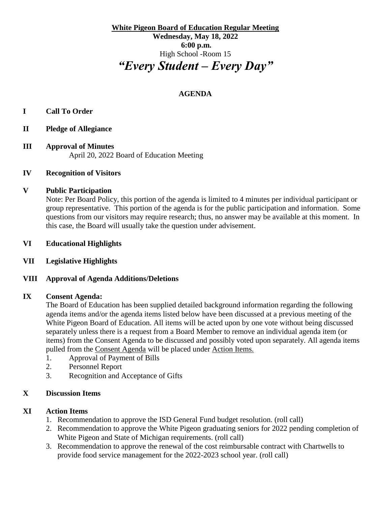**White Pigeon Board of Education Regular Meeting Wednesday, May 18, 2022 6:00 p.m.** High School -Room 15 *"Every Student – Every Day"*

# **AGENDA**

# **I Call To Order**

- **II Pledge of Allegiance**
- **III Approval of Minutes** April 20, 2022 Board of Education Meeting

### **IV Recognition of Visitors**

#### **V Public Participation**

Note: Per Board Policy, this portion of the agenda is limited to 4 minutes per individual participant or group representative. This portion of the agenda is for the public participation and information. Some questions from our visitors may require research; thus, no answer may be available at this moment. In this case, the Board will usually take the question under advisement.

#### **VI Educational Highlights**

### **VII Legislative Highlights**

### **VIII Approval of Agenda Additions/Deletions**

#### **IX Consent Agenda:**

The Board of Education has been supplied detailed background information regarding the following agenda items and/or the agenda items listed below have been discussed at a previous meeting of the White Pigeon Board of Education. All items will be acted upon by one vote without being discussed separately unless there is a request from a Board Member to remove an individual agenda item (or items) from the Consent Agenda to be discussed and possibly voted upon separately. All agenda items pulled from the Consent Agenda will be placed under Action Items.

- 1. Approval of Payment of Bills
- 2. Personnel Report
- 3. Recognition and Acceptance of Gifts

### **X Discussion Items**

### **XI Action Items**

- 1. Recommendation to approve the ISD General Fund budget resolution. (roll call)
- 2. Recommendation to approve the White Pigeon graduating seniors for 2022 pending completion of White Pigeon and State of Michigan requirements. (roll call)
- 3. Recommendation to approve the renewal of the cost reimbursable contract with Chartwells to provide food service management for the 2022-2023 school year. (roll call)